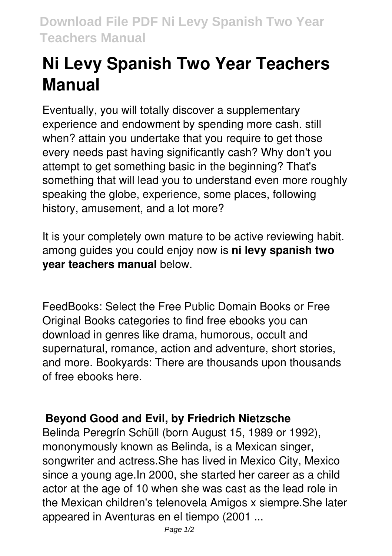# **Ni Levy Spanish Two Year Teachers Manual**

Eventually, you will totally discover a supplementary experience and endowment by spending more cash. still when? attain you undertake that you require to get those every needs past having significantly cash? Why don't you attempt to get something basic in the beginning? That's something that will lead you to understand even more roughly speaking the globe, experience, some places, following history, amusement, and a lot more?

It is your completely own mature to be active reviewing habit. among guides you could enjoy now is **ni levy spanish two year teachers manual** below.

FeedBooks: Select the Free Public Domain Books or Free Original Books categories to find free ebooks you can download in genres like drama, humorous, occult and supernatural, romance, action and adventure, short stories, and more. Bookyards: There are thousands upon thousands of free ebooks here.

### **Beyond Good and Evil, by Friedrich Nietzsche**

Belinda Peregrín Schüll (born August 15, 1989 or 1992), mononymously known as Belinda, is a Mexican singer, songwriter and actress.She has lived in Mexico City, Mexico since a young age.In 2000, she started her career as a child actor at the age of 10 when she was cast as the lead role in the Mexican children's telenovela Amigos x siempre.She later appeared in Aventuras en el tiempo (2001 ...